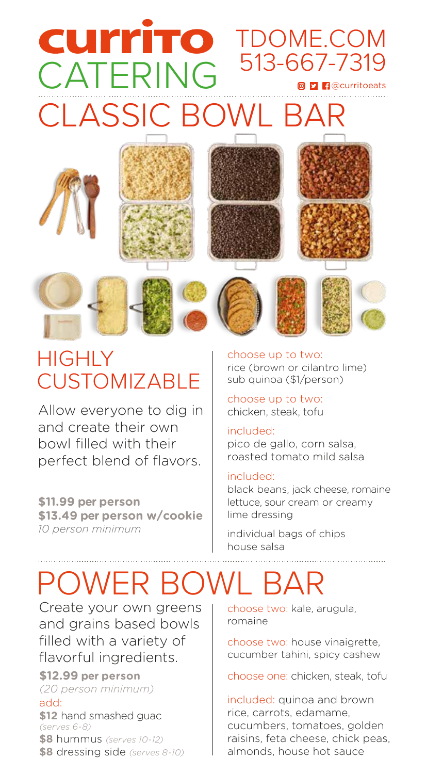# **CLASSIC BOWL BA** CATERING 513-667-7319 **CUITTTO** TDOME.COM



### **HIGHLY CUSTOMIZABLE**

Allow everyone to dig in and create their own bowl filled with their perfect blend of flavors.

**\$11.99 per person \$13.49 per person w/cookie** *10 person minimum*

choose up to two: rice (brown or cilantro lime) sub quinoa (\$1/person)

choose up to two: chicken, steak, tofu

### included:

pico de gallo, corn salsa, roasted tomato mild salsa

### included:

black beans, jack cheese, romaine lettuce, sour cream or creamy lime dressing

individual bags of chips house salsa

## POWER BOWL BAR

Create your own greens and grains based bowls filled with a variety of flavorful ingredients.

**\$12.99 per person**

*(20 person minimum)* add:

**\$12** hand smashed guac *(serves 6-8)*

**\$8** hummus *(serves 10-12)* **\$8** dressing side *(serves 8-10)* choose two: kale, arugula, romaine

choose two: house vinaigrette, cucumber tahini, spicy cashew

choose one: chicken, steak, tofu

included: quinoa and brown rice, carrots, edamame, cucumbers, tomatoes, golden raisins, feta cheese, chick peas, almonds, house hot sauce